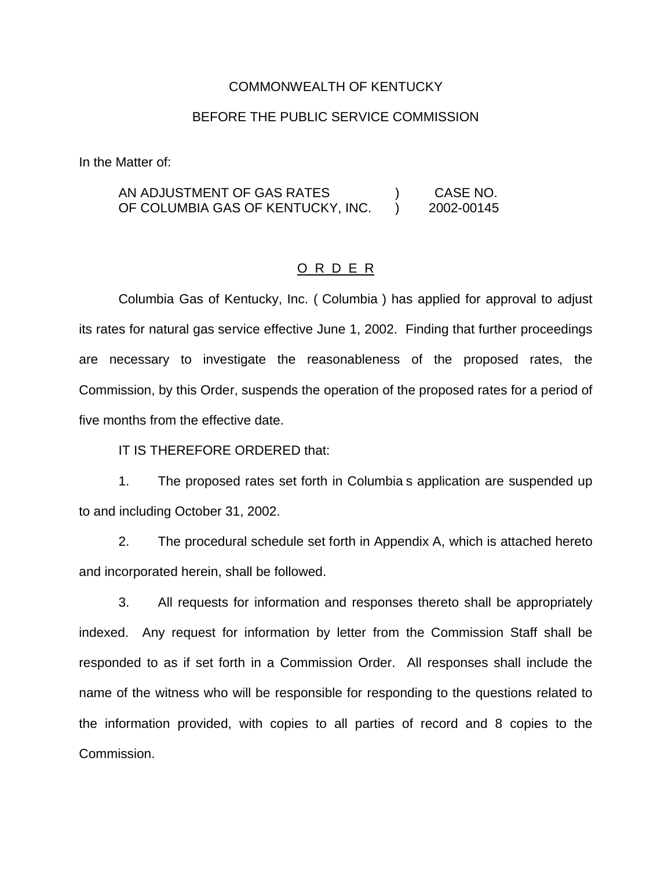### COMMONWEALTH OF KENTUCKY

### BEFORE THE PUBLIC SERVICE COMMISSION

In the Matter of:

AN ADJUSTMENT OF GAS RATES ) CASE NO. OF COLUMBIA GAS OF KENTUCKY, INC. ) 2002-00145

#### O R D E R

Columbia Gas of Kentucky, Inc. ( Columbia ) has applied for approval to adjust its rates for natural gas service effective June 1, 2002. Finding that further proceedings are necessary to investigate the reasonableness of the proposed rates, the Commission, by this Order, suspends the operation of the proposed rates for a period of five months from the effective date.

IT IS THEREFORE ORDERED that:

1. The proposed rates set forth in Columbia s application are suspended up to and including October 31, 2002.

2. The procedural schedule set forth in Appendix A, which is attached hereto and incorporated herein, shall be followed.

3. All requests for information and responses thereto shall be appropriately indexed. Any request for information by letter from the Commission Staff shall be responded to as if set forth in a Commission Order. All responses shall include the name of the witness who will be responsible for responding to the questions related to the information provided, with copies to all parties of record and 8 copies to the Commission.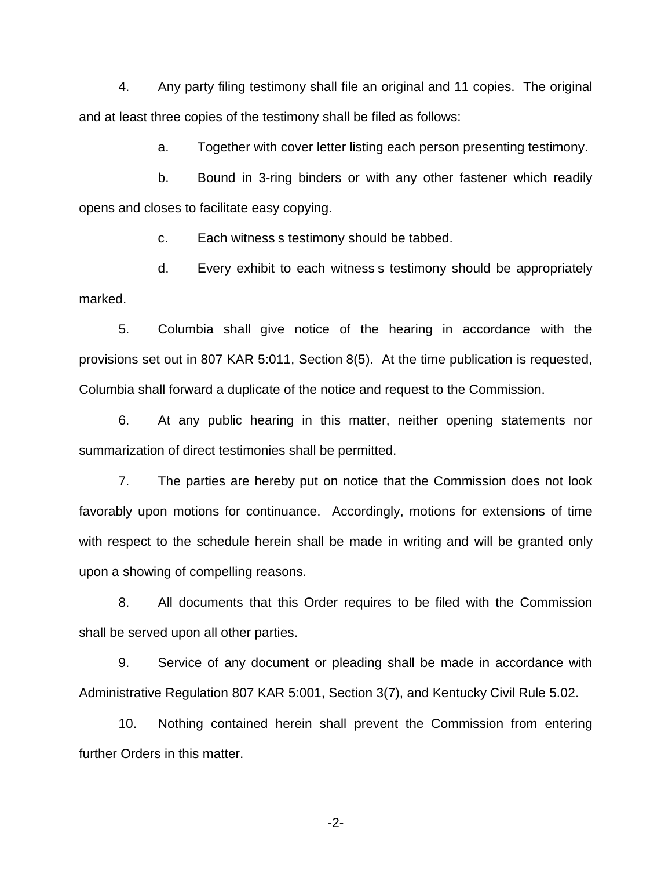4. Any party filing testimony shall file an original and 11 copies. The original and at least three copies of the testimony shall be filed as follows:

a. Together with cover letter listing each person presenting testimony.

b. Bound in 3-ring binders or with any other fastener which readily opens and closes to facilitate easy copying.

c. Each witness s testimony should be tabbed.

d. Every exhibit to each witness s testimony should be appropriately marked.

5. Columbia shall give notice of the hearing in accordance with the provisions set out in 807 KAR 5:011, Section 8(5). At the time publication is requested, Columbia shall forward a duplicate of the notice and request to the Commission.

6. At any public hearing in this matter, neither opening statements nor summarization of direct testimonies shall be permitted.

7. The parties are hereby put on notice that the Commission does not look favorably upon motions for continuance. Accordingly, motions for extensions of time with respect to the schedule herein shall be made in writing and will be granted only upon a showing of compelling reasons.

8. All documents that this Order requires to be filed with the Commission shall be served upon all other parties.

9. Service of any document or pleading shall be made in accordance with Administrative Regulation 807 KAR 5:001, Section 3(7), and Kentucky Civil Rule 5.02.

10. Nothing contained herein shall prevent the Commission from entering further Orders in this matter.

-2-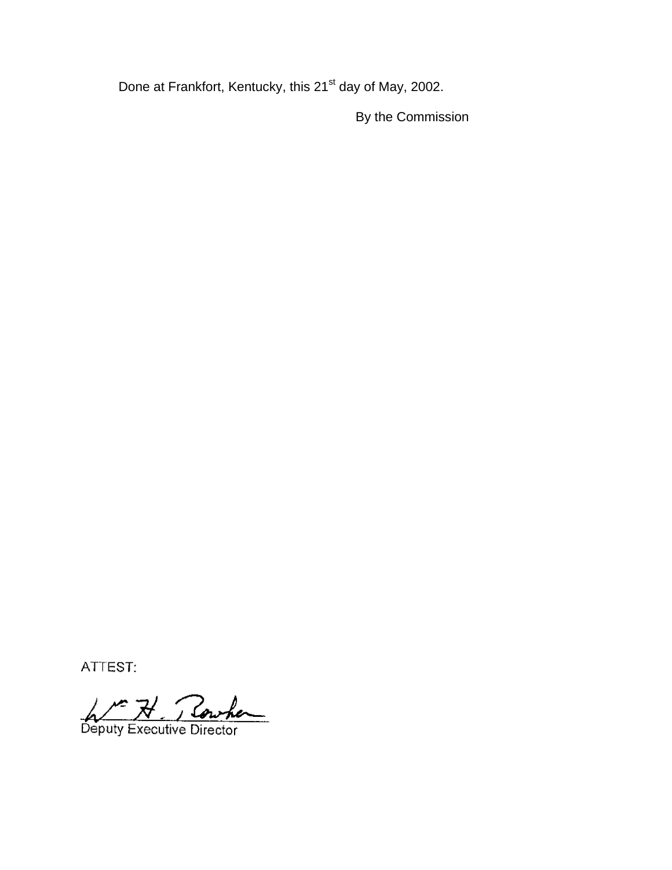Done at Frankfort, Kentucky, this 21<sup>st</sup> day of May, 2002.

By the Commission

ATTEST:

A Me H Rowher